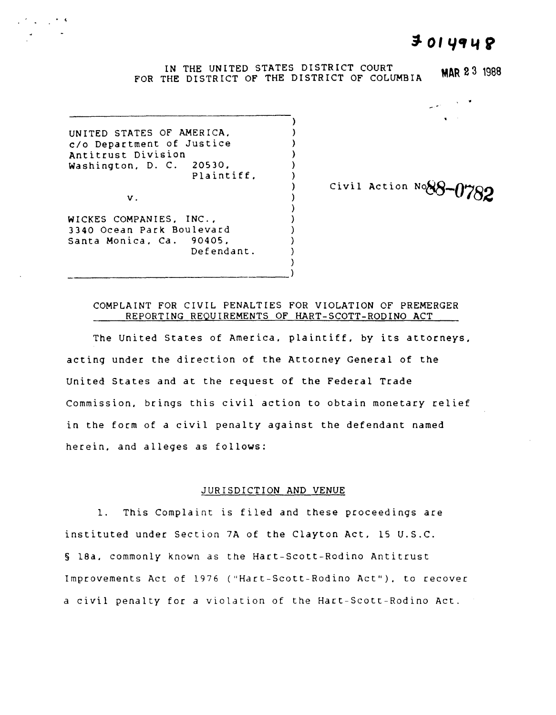# $3014948$

, ... , ... , ... , ... , ... , ... , ... , ... , ... , ... , ... , ... , ... , ... , ... , ... , ... , ... , ... , ... , ... , ... , ... , ... , ... , ... , ... , ... , ... , ... , ... , ... , ... , ... , ... , ... , ...

#### IN THE UNITED STATES DISTRICT COURT FOR THE DISTRICT OF THE DISTRICT OF COLUMBIA **MAR 23** <sup>1988</sup>

) } ) ) ) ) ) ) ) ) ) ) )

UNITED STATES OF AMERICA. c/o Department of Justice Antitrust Division Washington. D. C. 20530. Plaintiff.

v.

WICKES COMPANIES. INC., 3340 Ocean Park Boulevard Santa Monica. Ca. 90405. Defendant.

-----------------------------------)

Civil Action **No88-0782** 

# COMPLAINT FOR CIVIL PENALTIES FOR VIOLATION OF PREMERGER REPORTING REQUIREMENTS OF HART-SCOTT-RODINO ACT

)

The United States of America, plaintiff, by its attorneys. acting under the direction of the Attorney General of the United States and at the request of the Federal Trade Commission. brings this civil action to obtain monetary relief in the form of a civil penalty against the defendant named herein. and alleges as follows:

#### JURISDICTION AND VENUE

1. This Complaint is filed and these proceedings are instituted under Section 7A of the Clayton Act. 15 U.S.C. § ISa. commonly known as the Hart-Scott-Rodino Antitrust Improvements Act of 1976 ("Hart-Scott-Rodino Act"). to recover a civil penalty for a violation of the Hart-Scott-Rodino Act.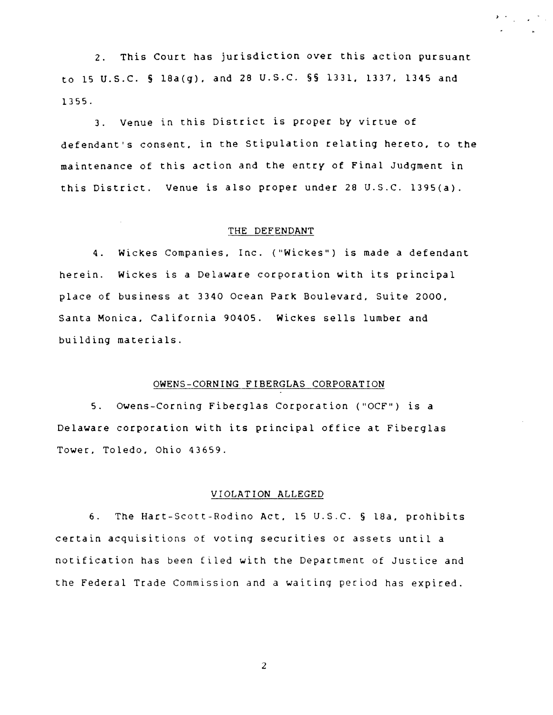2. This Court has jurisdiction over this action pursuant to 15 U.S.C. § 18a(g), and 28 U.S.C. §§ 1331, 1337, 1345 and 1355.

3. Venue in this District is proper by virtue of defendant's consent. in the Stipulation relating hereto, to the maintenance of this action and the entry of Final Judgment in this District. Venue is also proper under 26 U.S.C. l395(a).

#### THE DEFENDANT

4. Wickes Companies, Inc. ("Wickes") is made a defendant herein. Wickes is a Delaware corporation with its principal place of business at 3340 Ocean Park Boulevard, Suite 2000, Santa Monica, California 90405. Wickes sells lumber and building materials.

### OWENS-CORNING FIBERGLAS CORPORATION

5. Owens-Corning Fiberglas Corporation ("OCF") is a Delaware corporation with its principal office at Fiberglas Tower. Toledo. ohio 43659.

#### VIOLATION ALLEGED

6. The Hart-Scott-Rodino Act. 15 U.S.C. § lSa. prohibits certain acquisitions of voting securities or assets until a notification has been filed with the Department of Justice and the Federal Trade Commission and a waiting period has expired.

2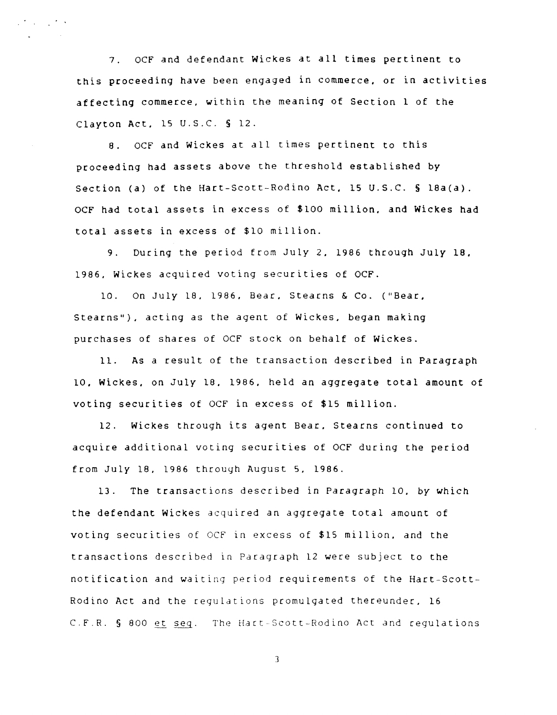7. OCF and defendant Wickes at all times pertinent to this proceeding have been engaged in commerce. or in activities affecting commerce, within the meaning of Section 1 of the Clayton Act, 15 U.S.C. § 12.

8. OCF and Wickes at all times pertinent to this proceeding had assets above the threshold established *by*  Section (a) of the Hart-Scott-Rodino Act, 15 U.S.C. § 18a(a). OCF had total assets in excess of \$100 million. and Wickes had total assets in excess of \$10 million.

9. During the period from July 2, 1986 through July 18. 1986. Wickes acquired voting securities of OCF.

10. On July 18. 1986. Bear. Stearns & Co. ("Bear. Stearns"). acting as the agent of Wickes. began making purchases of shares of OCF stock on behalf of Wickes.

11. As a result of the transaction described in Paragraph 10. Wickes. on July 18. 1986. held an aggregate total amount of voting securities of OCF in excess of \$15 million.

12. Wickes through its agent Bear. Stearns continued to acquire additional voting securities of OCF during the period from July 18. 1986 through August 5. 1986.

13. The transactions described in Paragraph 10. *by* which the defendant Wickes acquired an aggregate total amount of voting securities of OCf in excess of \$15 million. and the transactions described in Paragraph 12 were subject to the notification and waiting perlod requirements of the Hart-Scott-Rodino Act and the regulations promulgated thereunder. 16 C.F.R. § 800 et seq. The Hart-Scott-Rodino Act and regulations

3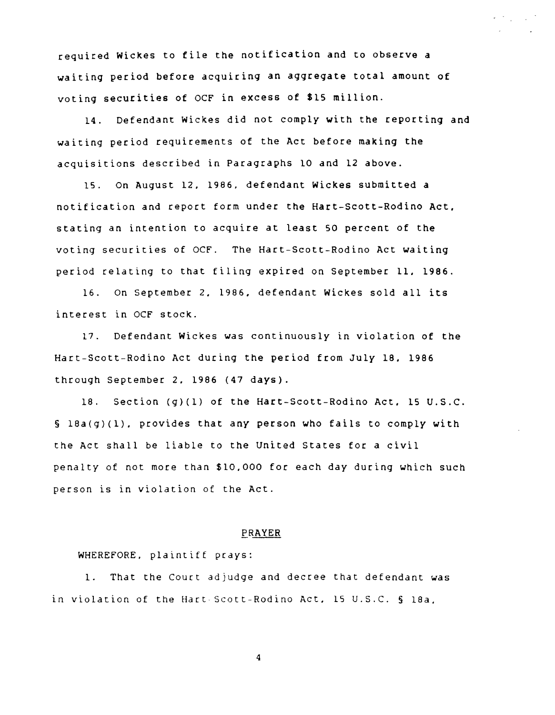required Wickes to file the notification and to observe a waiting period before acquiring an aggregate total amount of voting securities of OCF in excess of \$15 million.

14. Defendant Wickes did not comply with the reporting and waiting period requirements of the Act before making the acquisitions described in Paragraphs 10 and 12 above.

15. On August 12. 1986. defendant Wickes submitted a notification and report form under the Hart-Scott-Rodino Act. stating an intention to acquire at least 50 percent of the voting securities of OCF. The Hart-Scott-Rodino Act waiting period relating to that filing expired on September 11. 1986.

16. On September 2. 1986. defendant Wickes sold all its interest in OCF stock.

17. Defendant Wickes was continuously in violation of the Hart-Scott-Rodino Act during the period from July 18. 1986 through September 2. 1986 (47 days).

18. Section (g)(l) of the Hart-Scott-Rodino Act. 15 U.S.C. § 18a(g)(1). provides that any person who fails to comply with the Act shall be liable to the United States for a civil penalty of not more than \$10.000 for each day during which such person is in violation of the Act.

#### ERAYER

## WHEREFORE. plaintiff prays:

1. That the Court adjudge and decree that defendant was in violation of the Hart-Scott-Rodino Act. 15 U.S.C. § 18a.

4